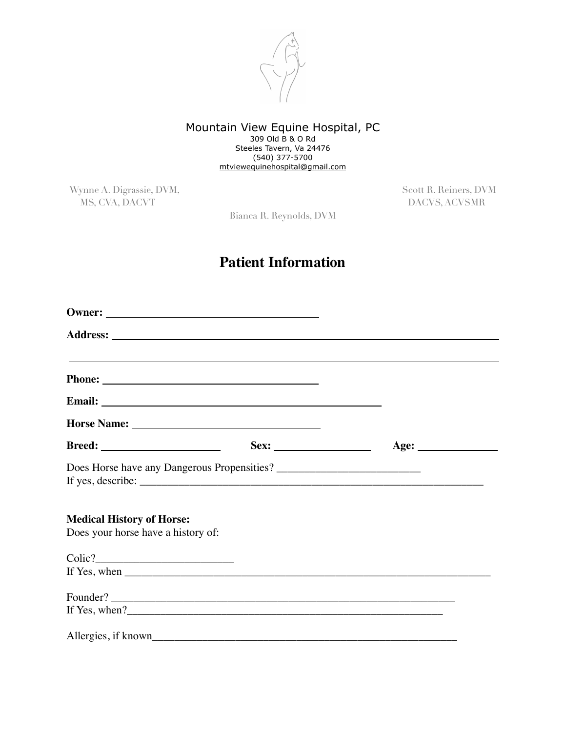

#### Mountain View Equine Hospital, PC 309 Old B & O Rd Steeles Tavern, Va 24476 (540) 377-5700 [mtviewequinehospital@gmail.com](mailto:mtviewequinehospital@gmail.com)

Wynne A. Digrassie, DVM, Scott R. Reiners, DVM MS, CVA, DACVT DACVS, ACVSMR

Bianca R. Reynolds, DVM

# **Patient Information**

| <b>Breed:</b> ________________________                                 |                                                                                                                                                                                                                                                                                                                                                                                                         |  |
|------------------------------------------------------------------------|---------------------------------------------------------------------------------------------------------------------------------------------------------------------------------------------------------------------------------------------------------------------------------------------------------------------------------------------------------------------------------------------------------|--|
|                                                                        | If yes, describe: $\sqrt{\frac{1}{2} \sum_{i=1}^{n} (x_i - x_i)^2}$                                                                                                                                                                                                                                                                                                                                     |  |
| <b>Medical History of Horse:</b><br>Does your horse have a history of: |                                                                                                                                                                                                                                                                                                                                                                                                         |  |
|                                                                        |                                                                                                                                                                                                                                                                                                                                                                                                         |  |
|                                                                        | If Yes, when $\frac{1}{\sqrt{1-\frac{1}{2}}\sqrt{1-\frac{1}{2}}\sqrt{1-\frac{1}{2}}\sqrt{1-\frac{1}{2}}\sqrt{1-\frac{1}{2}}\sqrt{1-\frac{1}{2}}\sqrt{1-\frac{1}{2}}\sqrt{1-\frac{1}{2}}\sqrt{1-\frac{1}{2}}\sqrt{1-\frac{1}{2}}\sqrt{1-\frac{1}{2}}\sqrt{1-\frac{1}{2}}\sqrt{1-\frac{1}{2}}\sqrt{1-\frac{1}{2}}\sqrt{1-\frac{1}{2}}\sqrt{1-\frac{1}{2}}\sqrt{1-\frac{1}{2}}\sqrt{1-\frac{1}{2}}\sqrt{1$ |  |
|                                                                        | Founder?                                                                                                                                                                                                                                                                                                                                                                                                |  |
|                                                                        |                                                                                                                                                                                                                                                                                                                                                                                                         |  |
|                                                                        |                                                                                                                                                                                                                                                                                                                                                                                                         |  |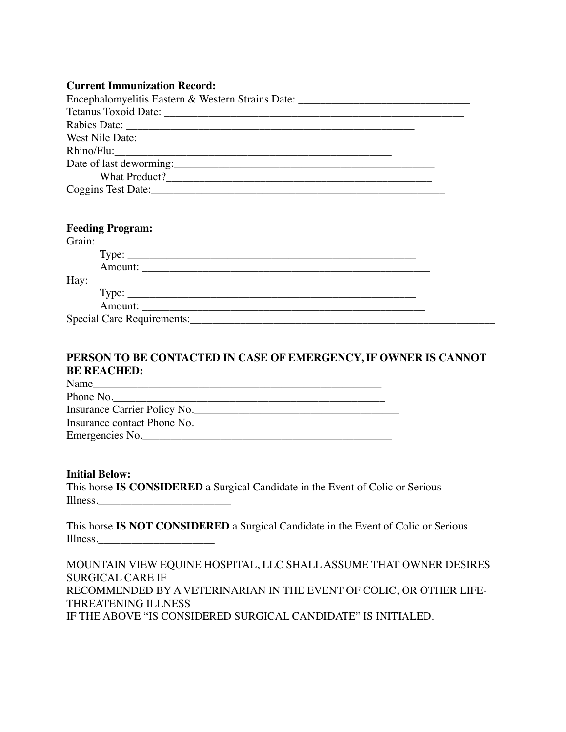### **Current Immunization Record:**

| Encephalomyelitis Eastern & Western Strains Date: ______________________________ |  |
|----------------------------------------------------------------------------------|--|
|                                                                                  |  |
|                                                                                  |  |
| West Nile Date:                                                                  |  |
| Rhino/Flu:                                                                       |  |
|                                                                                  |  |
|                                                                                  |  |
|                                                                                  |  |

|        | <b>Feeding Program:</b>    |  |
|--------|----------------------------|--|
| Grain: |                            |  |
|        |                            |  |
|        |                            |  |
| Hay:   |                            |  |
|        |                            |  |
|        | Amount:                    |  |
|        | Special Care Requirements: |  |

## **PERSON TO BE CONTACTED IN CASE OF EMERGENCY, IF OWNER IS CANNOT BE REACHED:**

| Name                         |  |
|------------------------------|--|
| Phone No.                    |  |
| Insurance Carrier Policy No. |  |
| Insurance contact Phone No.  |  |
| Emergencies No.              |  |

#### **Initial Below:**

This horse **IS CONSIDERED** a Surgical Candidate in the Event of Colic or Serious Illness.\_\_\_\_\_\_\_\_\_\_\_\_\_\_\_\_\_\_\_\_\_\_\_\_

This horse **IS NOT CONSIDERED** a Surgical Candidate in the Event of Colic or Serious Illness.\_\_\_\_\_\_\_\_\_\_\_\_\_\_\_\_\_\_\_\_\_

MOUNTAIN VIEW EQUINE HOSPITAL, LLC SHALL ASSUME THAT OWNER DESIRES SURGICAL CARE IF RECOMMENDED BY A VETERINARIAN IN THE EVENT OF COLIC, OR OTHER LIFE-THREATENING ILLNESS IF THE ABOVE "IS CONSIDERED SURGICAL CANDIDATE" IS INITIALED.